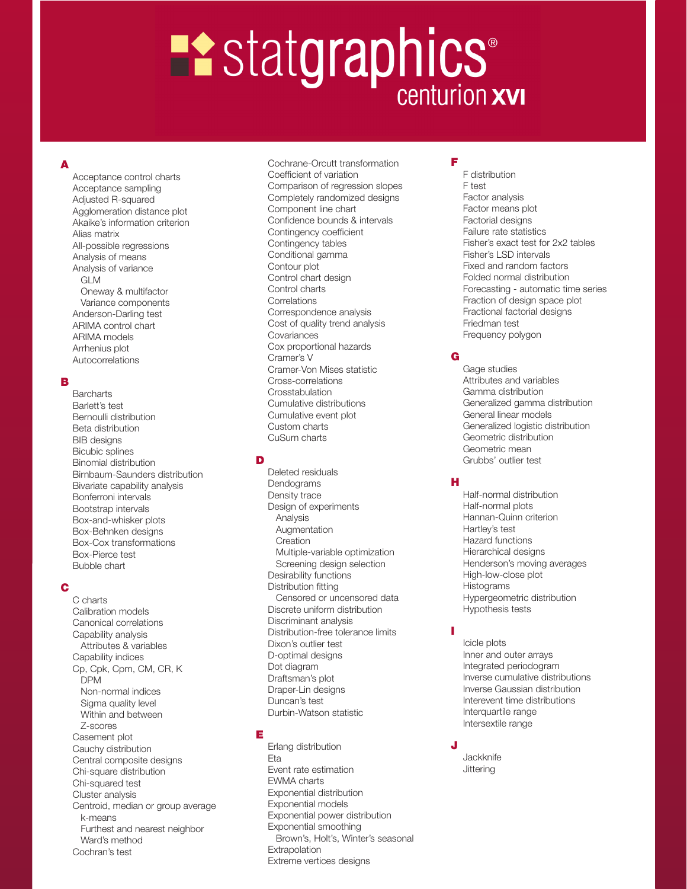# **Example 18 Statgraphics**

# A

Acceptance control charts Acceptance sampling Adjusted R-squared Agglomeration distance plot Akaike's information criterion Alias matrix All-possible regressions Analysis of means Analysis of variance GLM Oneway & multifactor Variance components Anderson-Darling test ARIMA control chart ARIMA models Arrhenius plot Autocorrelations

#### B

**Barcharts** Barlett's test Bernoulli distribution Beta distribution BIB designs Bicubic splines Binomial distribution Birnbaum-Saunders distribution Bivariate capability analysis Bonferroni intervals Bootstrap intervals Box-and-whisker plots Box-Behnken designs Box-Cox transformations Box-Pierce test Bubble chart

## C

C charts Calibration models Canonical correlations Capability analysis Attributes & variables Capability indices Cp, Cpk, Cpm, CM, CR, K DPM Non-normal indices Sigma quality level Within and between Z-scores Casement plot Cauchy distribution Central composite designs Chi-square distribution Chi-squared test Cluster analysis Centroid, median or group average k-means Furthest and nearest neighbor Ward's method Cochran's test

Cochrane-Orcutt transformation Coefficient of variation Comparison of regression slopes Completely randomized designs Component line chart Confidence bounds & intervals Contingency coefficient Contingency tables Conditional gamma Contour plot Control chart design Control charts **Correlations** Correspondence analysis Cost of quality trend analysis Covariances Cox proportional hazards Cramer's V Cramer-Von Mises statistic Cross-correlations **Crosstabulation** Cumulative distributions Cumulative event plot Custom charts CuSum charts

## D

Deleted residuals Dendograms Density trace Design of experiments Analysis Augmentation **Creation** Multiple-variable optimization Screening design selection Desirability functions Distribution fitting Censored or uncensored data Discrete uniform distribution Discriminant analysis Distribution-free tolerance limits Dixon's outlier test D-optimal designs Dot diagram Draftsman's plot Draper-Lin designs Duncan's test Durbin-Watson statistic

## E

Erlang distribution Eta Event rate estimation EWMA charts Exponential distribution Exponential models Exponential power distribution Exponential smoothing Brown's, Holt's, Winter's seasonal Extrapolation Extreme vertices designs

F F distribution F test Factor analysis Factor means plot Factorial designs Failure rate statistics Fisher's exact test for 2x2 tables Fisher's LSD intervals Fixed and random factors Folded normal distribution Forecasting - automatic time series Fraction of design space plot Fractional factorial designs Friedman test Frequency polygon

## G

Gage studies Attributes and variables Gamma distribution Generalized gamma distribution General linear models Generalized logistic distribution Geometric distribution Geometric mean Grubbs' outlier test

## H

Half-normal distribution Half-normal plots Hannan-Quinn criterion Hartley's test Hazard functions Hierarchical designs Henderson's moving averages High-low-close plot Histograms Hypergeometric distribution Hypothesis tests

# I

Icicle plots Inner and outer arrays Integrated periodogram Inverse cumulative distributions Inverse Gaussian distribution Interevent time distributions Interquartile range Intersextile range

#### **Jackknife Jittering**

J